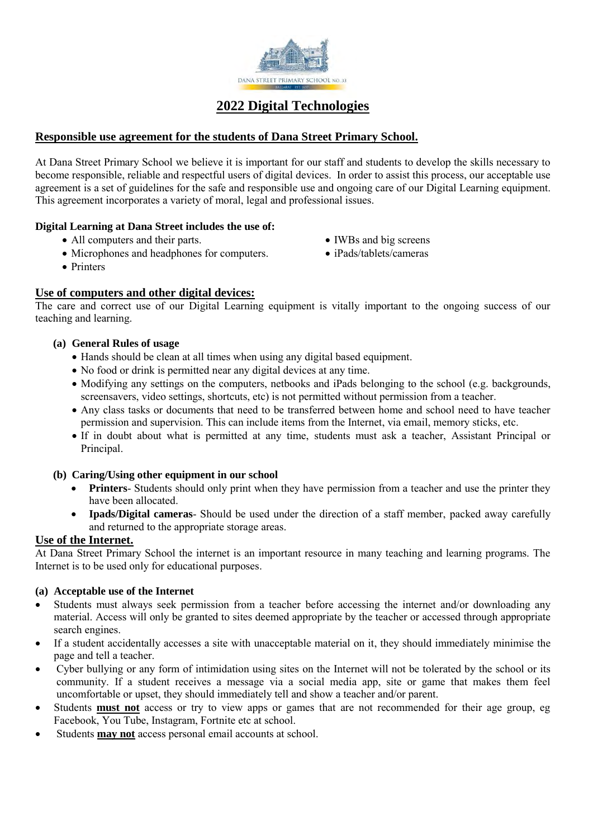

## **2022 Digital Technologies**

### **Responsible use agreement for the students of Dana Street Primary School.**

At Dana Street Primary School we believe it is important for our staff and students to develop the skills necessary to become responsible, reliable and respectful users of digital devices. In order to assist this process, our acceptable use agreement is a set of guidelines for the safe and responsible use and ongoing care of our Digital Learning equipment. This agreement incorporates a variety of moral, legal and professional issues.

#### **Digital Learning at Dana Street includes the use of:**

- All computers and their parts.
- Microphones and headphones for computers.
- IWBs and big screens
- iPads/tablets/cameras

• Printers

### **Use of computers and other digital devices:**

The care and correct use of our Digital Learning equipment is vitally important to the ongoing success of our teaching and learning.

#### **(a) General Rules of usage**

- Hands should be clean at all times when using any digital based equipment.
- No food or drink is permitted near any digital devices at any time.
- Modifying any settings on the computers, netbooks and iPads belonging to the school (e.g. backgrounds, screensavers, video settings, shortcuts, etc) is not permitted without permission from a teacher.
- Any class tasks or documents that need to be transferred between home and school need to have teacher permission and supervision. This can include items from the Internet, via email, memory sticks, etc.
- If in doubt about what is permitted at any time, students must ask a teacher, Assistant Principal or Principal.

#### **(b) Caring/Using other equipment in our school**

- **Printers** Students should only print when they have permission from a teacher and use the printer they have been allocated.
- **Ipads/Digital cameras** Should be used under the direction of a staff member, packed away carefully and returned to the appropriate storage areas.

#### **Use of the Internet.**

At Dana Street Primary School the internet is an important resource in many teaching and learning programs. The Internet is to be used only for educational purposes.

#### **(a) Acceptable use of the Internet**

- Students must always seek permission from a teacher before accessing the internet and/or downloading any material. Access will only be granted to sites deemed appropriate by the teacher or accessed through appropriate search engines.
- If a student accidentally accesses a site with unacceptable material on it, they should immediately minimise the page and tell a teacher.
- Cyber bullying or any form of intimidation using sites on the Internet will not be tolerated by the school or its community. If a student receives a message via a social media app, site or game that makes them feel uncomfortable or upset, they should immediately tell and show a teacher and/or parent.
- Students **must not** access or try to view apps or games that are not recommended for their age group, eg Facebook, You Tube, Instagram, Fortnite etc at school.
- Students **may not** access personal email accounts at school.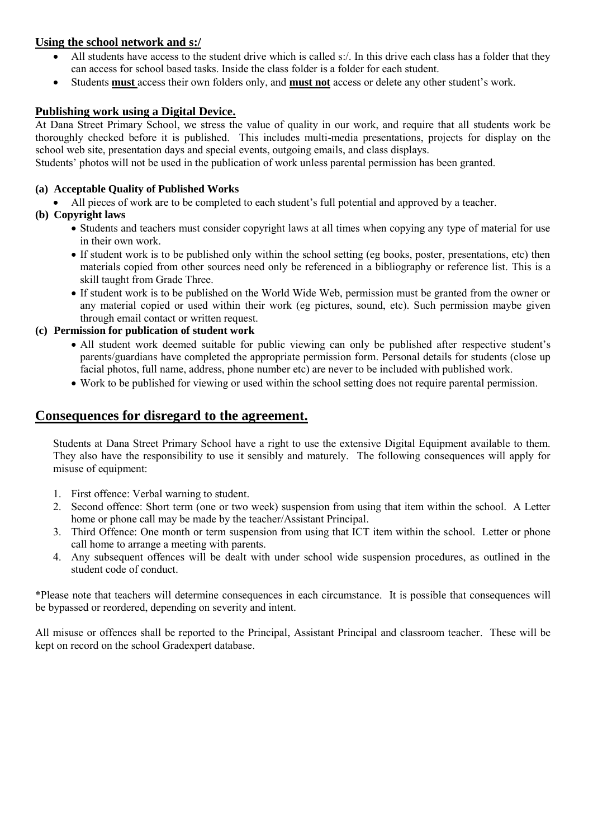#### **Using the school network and s:/**

- All students have access to the student drive which is called s:/. In this drive each class has a folder that they can access for school based tasks. Inside the class folder is a folder for each student.
- Students **must** access their own folders only, and **must not** access or delete any other student's work.

#### **Publishing work using a Digital Device.**

At Dana Street Primary School, we stress the value of quality in our work, and require that all students work be thoroughly checked before it is published. This includes multi-media presentations, projects for display on the school web site, presentation days and special events, outgoing emails, and class displays.

Students' photos will not be used in the publication of work unless parental permission has been granted.

#### **(a) Acceptable Quality of Published Works**

All pieces of work are to be completed to each student's full potential and approved by a teacher.

#### **(b) Copyright laws**

- Students and teachers must consider copyright laws at all times when copying any type of material for use in their own work.
- If student work is to be published only within the school setting (eg books, poster, presentations, etc) then materials copied from other sources need only be referenced in a bibliography or reference list. This is a skill taught from Grade Three.
- If student work is to be published on the World Wide Web, permission must be granted from the owner or any material copied or used within their work (eg pictures, sound, etc). Such permission maybe given through email contact or written request.

#### **(c) Permission for publication of student work**

- All student work deemed suitable for public viewing can only be published after respective student's parents/guardians have completed the appropriate permission form. Personal details for students (close up facial photos, full name, address, phone number etc) are never to be included with published work.
- Work to be published for viewing or used within the school setting does not require parental permission.

### **Consequences for disregard to the agreement.**

Students at Dana Street Primary School have a right to use the extensive Digital Equipment available to them. They also have the responsibility to use it sensibly and maturely. The following consequences will apply for misuse of equipment:

- 1. First offence: Verbal warning to student.
- 2. Second offence: Short term (one or two week) suspension from using that item within the school. A Letter home or phone call may be made by the teacher/Assistant Principal.
- 3. Third Offence: One month or term suspension from using that ICT item within the school. Letter or phone call home to arrange a meeting with parents.
- 4. Any subsequent offences will be dealt with under school wide suspension procedures, as outlined in the student code of conduct.

\*Please note that teachers will determine consequences in each circumstance. It is possible that consequences will be bypassed or reordered, depending on severity and intent.

All misuse or offences shall be reported to the Principal, Assistant Principal and classroom teacher. These will be kept on record on the school Gradexpert database.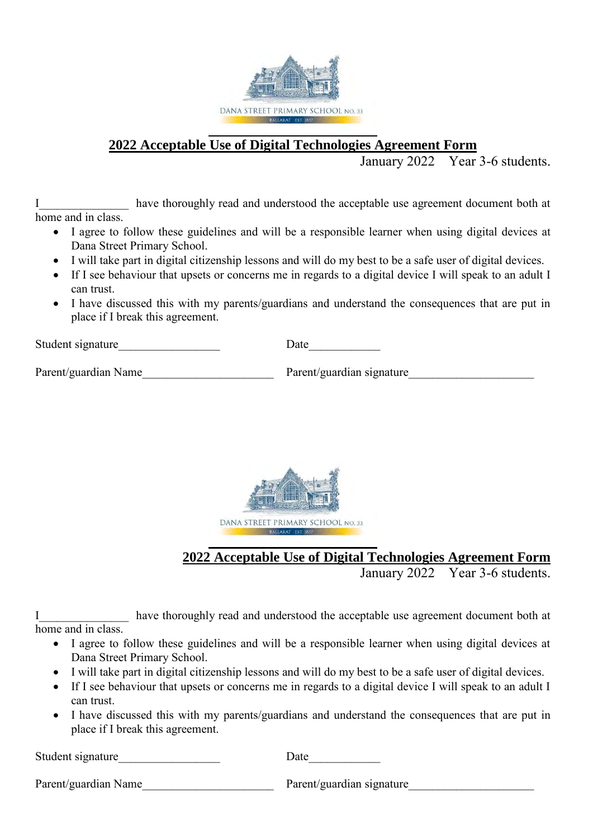

## **2022 Acceptable Use of Digital Technologies Agreement Form**

January 2022 Year 3-6 students.

I have thoroughly read and understood the acceptable use agreement document both at home and in class.

- I agree to follow these guidelines and will be a responsible learner when using digital devices at Dana Street Primary School.
- I will take part in digital citizenship lessons and will do my best to be a safe user of digital devices.
- If I see behaviour that upsets or concerns me in regards to a digital device I will speak to an adult I can trust.
- I have discussed this with my parents/guardians and understand the consequences that are put in place if I break this agreement.

Student signature Date

Parent/guardian Name Tarent/guardian signature



**2022 Acceptable Use of Digital Technologies Agreement Form** 

January 2022 Year 3-6 students.

I have thoroughly read and understood the acceptable use agreement document both at home and in class.

- I agree to follow these guidelines and will be a responsible learner when using digital devices at Dana Street Primary School.
- I will take part in digital citizenship lessons and will do my best to be a safe user of digital devices.
- If I see behaviour that upsets or concerns me in regards to a digital device I will speak to an adult I can trust.
- I have discussed this with my parents/guardians and understand the consequences that are put in place if I break this agreement.

Student signature Date

Parent/guardian Name Tarent/guardian signature